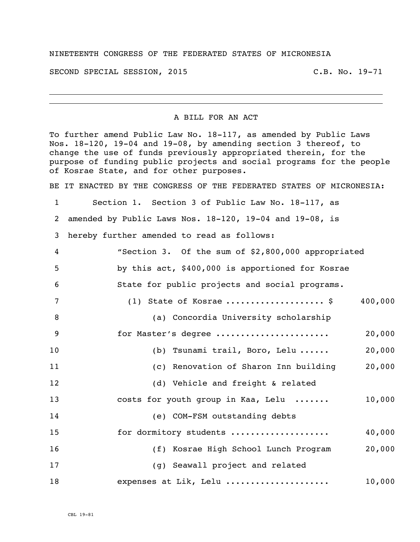## NINETEENTH CONGRESS OF THE FEDERATED STATES OF MICRONESIA

SECOND SPECIAL SESSION, 2015 C.B. No. 19-71

## A BILL FOR AN ACT

To further amend Public Law No. 18-117, as amended by Public Laws Nos. 18-120, 19-04 and 19-08, by amending section 3 thereof, to change the use of funds previously appropriated therein, for the purpose of funding public projects and social programs for the people of Kosrae State, and for other purposes.

BE IT ENACTED BY THE CONGRESS OF THE FEDERATED STATES OF MICRONESIA:

Section 1. Section 3 of Public Law No. 18-117, as

amended by Public Laws Nos. 18-120, 19-04 and 19-08, is

hereby further amended to read as follows:

| $\overline{4}$  | "Section 3. Of the sum of \$2,800,000 appropriated |         |
|-----------------|----------------------------------------------------|---------|
| 5               | by this act, \$400,000 is apportioned for Kosrae   |         |
| 6               | State for public projects and social programs.     |         |
| $7\phantom{.0}$ | (1) State of Kosrae  \$                            | 400,000 |
| 8               | (a) Concordia University scholarship               |         |
| 9               | for Master's degree                                | 20,000  |
| 10              | (b) Tsunami trail, Boro, Lelu                      | 20,000  |
| 11              | (c) Renovation of Sharon Inn building              | 20,000  |
| 12              | (d) Vehicle and freight & related                  |         |
| 13              | costs for youth group in Kaa, Lelu                 | 10,000  |
| 14              | (e) COM-FSM outstanding debts                      |         |
| 15              | for dormitory students                             | 40,000  |
| 16              | (f) Kosrae High School Lunch Program               | 20,000  |
| 17              | (q) Seawall project and related                    |         |
| 18              | expenses at Lik, Lelu                              | 10,000  |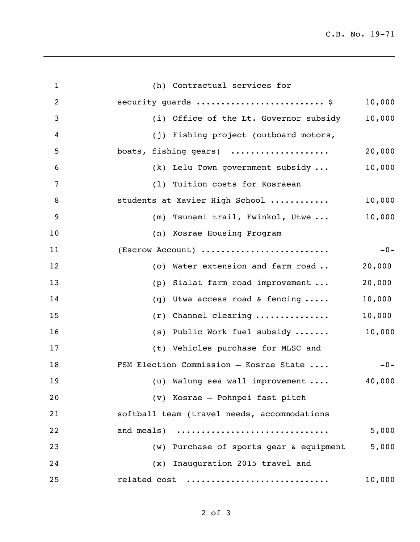C.B. No. 19-71

| $\mathbf{1}$   | (h) Contractual services for                     |
|----------------|--------------------------------------------------|
| $\overline{c}$ | security guards  \$<br>10,000                    |
| 3              | 10,000<br>(i) Office of the Lt. Governor subsidy |
| 4              | (j) Fishing project (outboard motors,            |
| 5              | boats, fishing gears)<br>20,000                  |
| 6              | 10,000<br>(k) Lelu Town government subsidy       |
| 7              | (1) Tuition costs for Kosraean                   |
| 8              | 10,000<br>students at Xavier High School         |
| 9              | 10,000<br>(m) Tsunami trail, Fwinkol, Utwe       |
| 10             | (n) Kosrae Housing Program                       |
| 11             | (Escrow Account)<br>$-0-$                        |
| 12             | (o) Water extension and farm road<br>20,000      |
| 13             | (p) Sialat farm road improvement<br>20,000       |
| 14             | Utwa access road & fencing<br>10,000<br>(q)      |
| 15             | $(r)$ Channel clearing<br>10,000                 |
| 16             | 10,000<br>(s) Public Work fuel subsidy           |
| 17             | (t) Vehicles purchase for MLSC and               |
| 18             | FSM Election Commission - Kosrae State<br>$-0-$  |
| 19             | (u) Walung sea wall improvement<br>40,000        |
| 20             | (v) Kosrae - Pohnpei fast pitch                  |
| 21             | softball team (travel needs, accommodations      |
| 22             | and meals)<br>5,000                              |
| 23             | (w) Purchase of sports gear & equipment<br>5,000 |
| 24             | (x) Inauguration 2015 travel and                 |
| 25             | related cost<br>10,000                           |